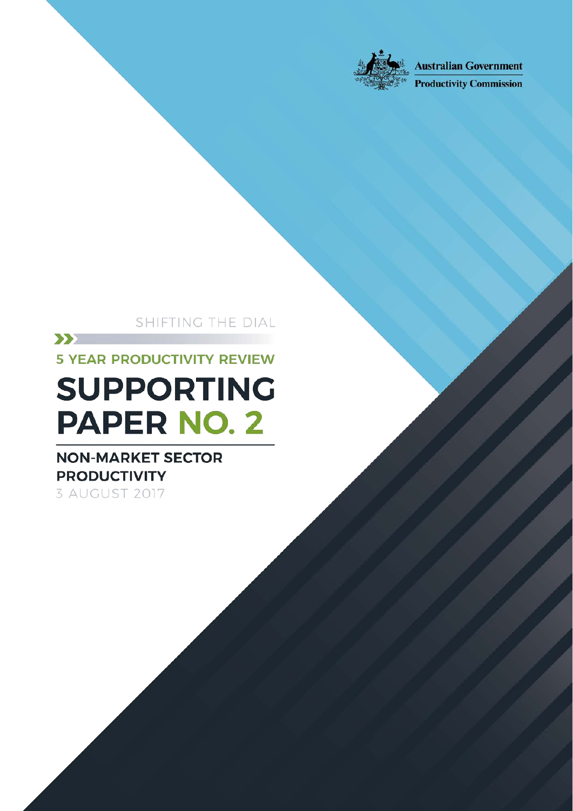

**Australian Government** 

**Productivity Commission** 

SHIFTING THE DIAL

Non-market sector productivity

Shifting the Dial: 5 year Productivity Review — Supporting Paper No.2, Canberra, August

 $\sum$ **5 YEAR PRODUCTIVITY REVIEW** 

# **SUPPORTING PAPER NO. 2**

### **NON-MARKET SECTOR PRODUCTIVITY** 3 AUGUST 2017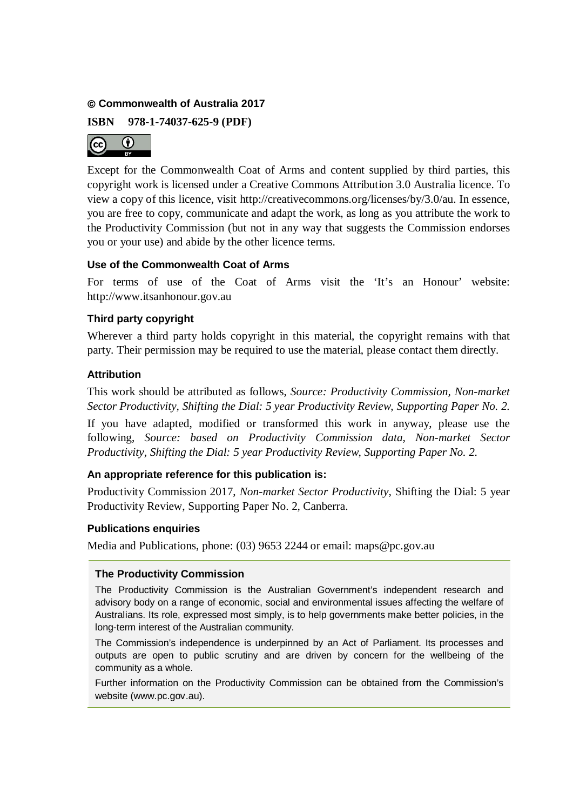#### **Commonwealth of Australia 2017**

**ISBN 978-1-74037-625-9 (PDF)**



Except for the Commonwealth Coat of Arms and content supplied by third parties, this copyright work is licensed under a Creative Commons Attribution 3.0 Australia licence. To view a copy of this licence, visit http://creativecommons.org/licenses/by/3.0/au. In essence, you are free to copy, communicate and adapt the work, as long as you attribute the work to the Productivity Commission (but not in any way that suggests the Commission endorses you or your use) and abide by the other licence terms.

#### **Use of the Commonwealth Coat of Arms**

For terms of use of the Coat of Arms visit the 'It's an Honour' website: http://www.itsanhonour.gov.au

#### **Third party copyright**

Wherever a third party holds copyright in this material, the copyright remains with that party. Their permission may be required to use the material, please contact them directly.

#### **Attribution**

This work should be attributed as follows, *Source: Productivity Commission, Non-market Sector Productivity, Shifting the Dial: 5 year Productivity Review*, *Supporting Paper No. 2.*

If you have adapted, modified or transformed this work in anyway, please use the following, *Source: based on Productivity Commission data, Non-market Sector Productivity, Shifting the Dial: 5 year Productivity Review*, *Supporting Paper No. 2.*

#### **An appropriate reference for this publication is:**

Productivity Commission 2017, *Non-market Sector Productivity,* Shifting the Dial: 5 year Productivity Review, Supporting Paper No. 2, Canberra.

#### **Publications enquiries**

Media and Publications, phone: (03) 9653 2244 or email: maps@pc.gov.au

#### **The Productivity Commission**

The Productivity Commission is the Australian Government's independent research and advisory body on a range of economic, social and environmental issues affecting the welfare of Australians. Its role, expressed most simply, is to help governments make better policies, in the long-term interest of the Australian community.

The Commission's independence is underpinned by an Act of Parliament. Its processes and outputs are open to public scrutiny and are driven by concern for the wellbeing of the community as a whole.

Further information on the Productivity Commission can be obtained from the Commission's website (www.pc.gov.au).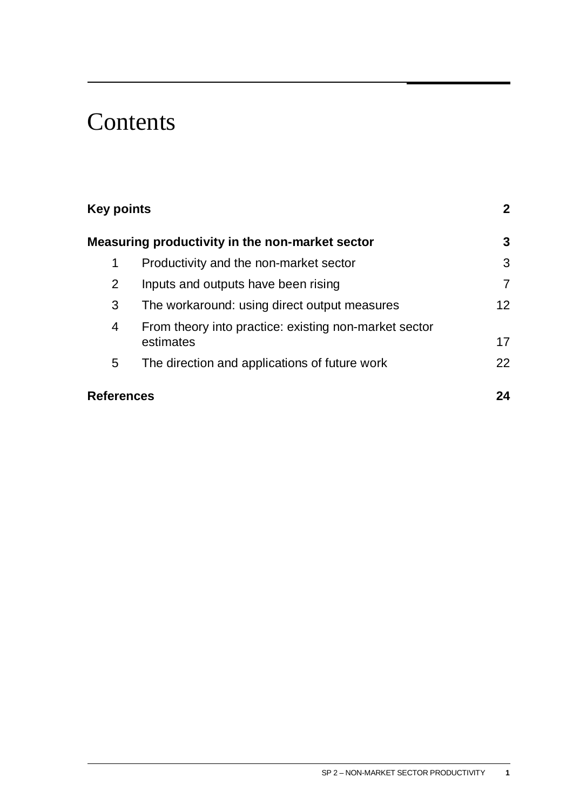# **Contents**

| <b>Key points</b><br>Measuring productivity in the non-market sector |                                                                    | $\mathbf{2}$<br>3 |
|----------------------------------------------------------------------|--------------------------------------------------------------------|-------------------|
|                                                                      |                                                                    |                   |
| $\overline{2}$                                                       | Inputs and outputs have been rising                                | 7                 |
| 3                                                                    | The workaround: using direct output measures                       | 12 <sup>2</sup>   |
| 4                                                                    | From theory into practice: existing non-market sector<br>estimates | 17                |
| 5                                                                    | The direction and applications of future work                      | 22                |
| <b>References</b>                                                    |                                                                    | 24                |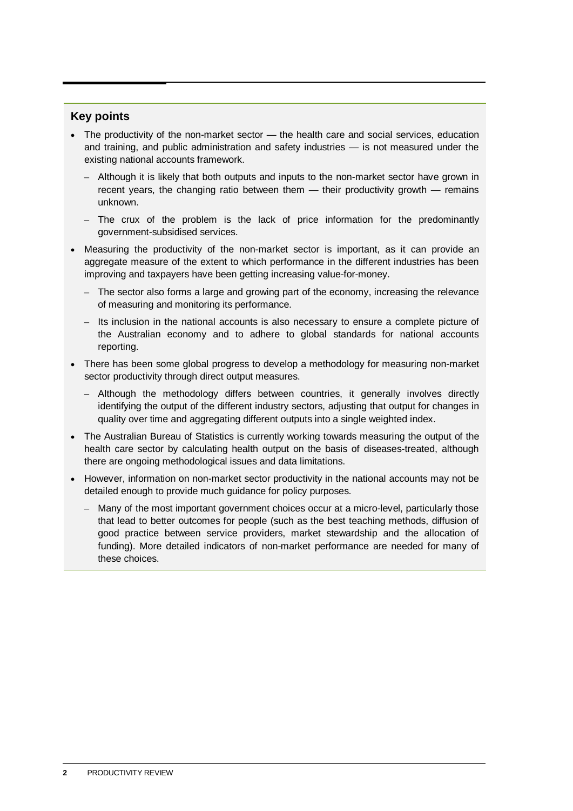#### <span id="page-4-0"></span>**Key points**

- The productivity of the non-market sector the health care and social services, education and training, and public administration and safety industries — is not measured under the existing national accounts framework.
	- Although it is likely that both outputs and inputs to the non-market sector have grown in recent years, the changing ratio between them — their productivity growth — remains unknown.
	- The crux of the problem is the lack of price information for the predominantly government-subsidised services.
- Measuring the productivity of the non-market sector is important, as it can provide an aggregate measure of the extent to which performance in the different industries has been improving and taxpayers have been getting increasing value-for-money.
	- The sector also forms a large and growing part of the economy, increasing the relevance of measuring and monitoring its performance.
	- Its inclusion in the national accounts is also necessary to ensure a complete picture of the Australian economy and to adhere to global standards for national accounts reporting.
- There has been some global progress to develop a methodology for measuring non-market sector productivity through direct output measures.
	- Although the methodology differs between countries, it generally involves directly identifying the output of the different industry sectors, adjusting that output for changes in quality over time and aggregating different outputs into a single weighted index.
- The Australian Bureau of Statistics is currently working towards measuring the output of the health care sector by calculating health output on the basis of diseases-treated, although there are ongoing methodological issues and data limitations.
- However, information on non-market sector productivity in the national accounts may not be detailed enough to provide much guidance for policy purposes.
	- Many of the most important government choices occur at a micro-level, particularly those that lead to better outcomes for people (such as the best teaching methods, diffusion of good practice between service providers, market stewardship and the allocation of funding). More detailed indicators of non-market performance are needed for many of these choices.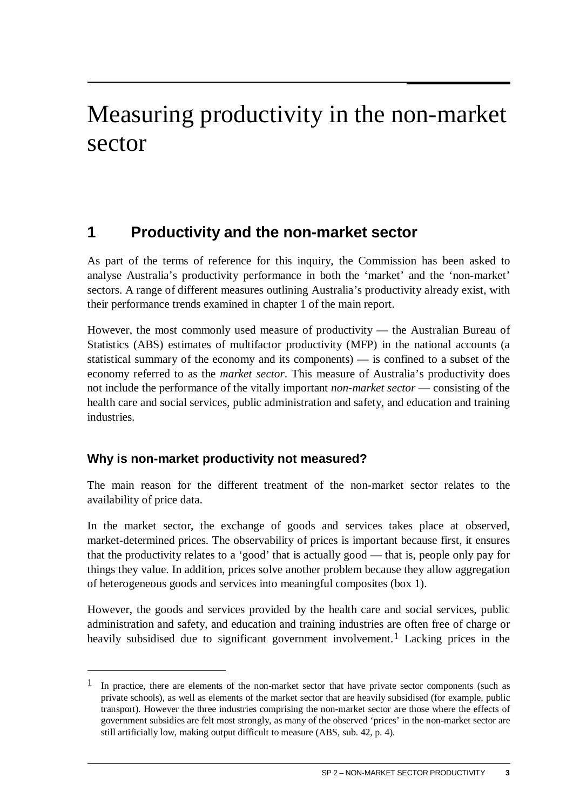# <span id="page-5-0"></span>Measuring productivity in the non-market sector

### **1 Productivity and the non-market sector**

As part of the terms of reference for this inquiry, the Commission has been asked to analyse Australia's productivity performance in both the 'market' and the 'non-market' sectors. A range of different measures outlining Australia's productivity already exist, with their performance trends examined in chapter 1 of the main report.

However, the most commonly used measure of productivity — the Australian Bureau of Statistics (ABS) estimates of multifactor productivity (MFP) in the national accounts (a statistical summary of the economy and its components) — is confined to a subset of the economy referred to as the *market sector*. This measure of Australia's productivity does not include the performance of the vitally important *non-market sector* — consisting of the health care and social services, public administration and safety, and education and training industries.

#### **Why is non-market productivity not measured?**

 $\overline{a}$ 

The main reason for the different treatment of the non-market sector relates to the availability of price data.

In the market sector, the exchange of goods and services takes place at observed, market-determined prices. The observability of prices is important because first, it ensures that the productivity relates to a 'good' that is actually good — that is, people only pay for things they value. In addition, prices solve another problem because they allow aggregation of heterogeneous goods and services into meaningful composites (box 1).

However, the goods and services provided by the health care and social services, public administration and safety, and education and training industries are often free of charge or heavily subsidised due to significant government involvement.<sup>[1](#page-5-1)</sup> Lacking prices in the

<span id="page-5-1"></span><sup>&</sup>lt;sup>1</sup> In practice, there are elements of the non-market sector that have private sector components (such as private schools), as well as elements of the market sector that are heavily subsidised (for example, public transport). However the three industries comprising the non-market sector are those where the effects of government subsidies are felt most strongly, as many of the observed 'prices' in the non-market sector are still artificially low, making output difficult to measure (ABS, sub. 42, p. 4).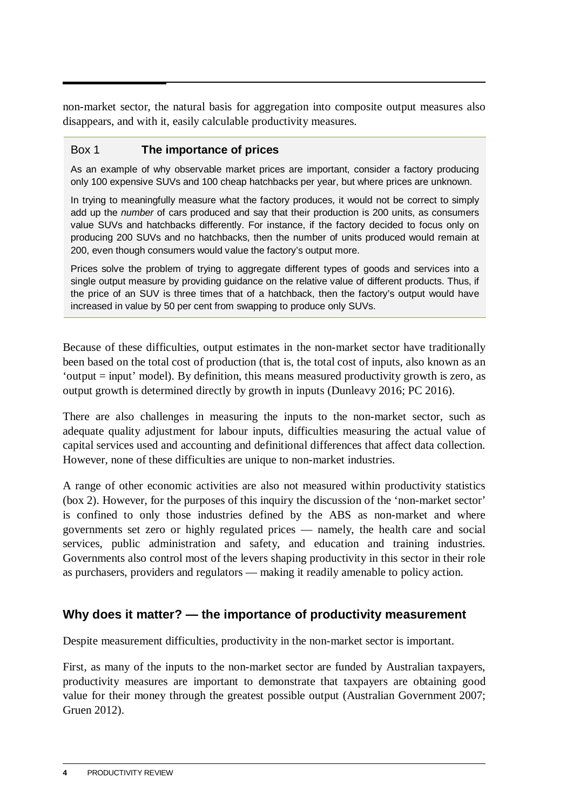non-market sector, the natural basis for aggregation into composite output measures also disappears, and with it, easily calculable productivity measures.

#### Box 1 **The importance of prices**

As an example of why observable market prices are important, consider a factory producing only 100 expensive SUVs and 100 cheap hatchbacks per year, but where prices are unknown.

In trying to meaningfully measure what the factory produces, it would not be correct to simply add up the *number* of cars produced and say that their production is 200 units, as consumers value SUVs and hatchbacks differently. For instance, if the factory decided to focus only on producing 200 SUVs and no hatchbacks, then the number of units produced would remain at 200, even though consumers would value the factory's output more.

Prices solve the problem of trying to aggregate different types of goods and services into a single output measure by providing guidance on the relative value of different products. Thus, if the price of an SUV is three times that of a hatchback, then the factory's output would have increased in value by 50 per cent from swapping to produce only SUVs.

Because of these difficulties, output estimates in the non-market sector have traditionally been based on the total cost of production (that is, the total cost of inputs, also known as an 'output = input' model). By definition, this means measured productivity growth is zero, as output growth is determined directly by growth in inputs (Dunleavy 2016; PC 2016).

There are also challenges in measuring the inputs to the non-market sector, such as adequate quality adjustment for labour inputs, difficulties measuring the actual value of capital services used and accounting and definitional differences that affect data collection. However, none of these difficulties are unique to non-market industries.

A range of other economic activities are also not measured within productivity statistics (box 2). However, for the purposes of this inquiry the discussion of the 'non-market sector' is confined to only those industries defined by the ABS as non-market and where governments set zero or highly regulated prices — namely, the health care and social services, public administration and safety, and education and training industries. Governments also control most of the levers shaping productivity in this sector in their role as purchasers, providers and regulators — making it readily amenable to policy action.

#### **Why does it matter? — the importance of productivity measurement**

Despite measurement difficulties, productivity in the non-market sector is important.

First, as many of the inputs to the non-market sector are funded by Australian taxpayers, productivity measures are important to demonstrate that taxpayers are obtaining good value for their money through the greatest possible output (Australian Government 2007; Gruen 2012).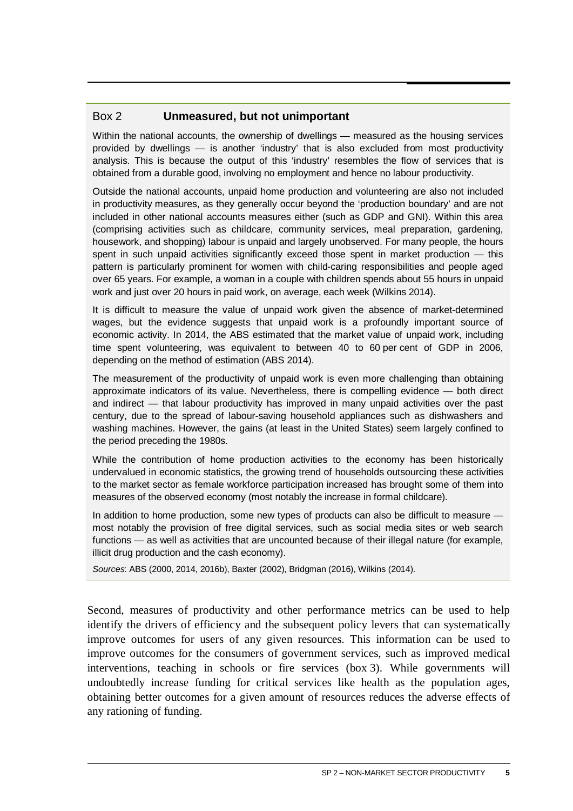#### Box 2 **Unmeasured, but not unimportant**

Within the national accounts, the ownership of dwellings — measured as the housing services provided by dwellings — is another 'industry' that is also excluded from most productivity analysis. This is because the output of this 'industry' resembles the flow of services that is obtained from a durable good, involving no employment and hence no labour productivity.

Outside the national accounts, unpaid home production and volunteering are also not included in productivity measures, as they generally occur beyond the 'production boundary' and are not included in other national accounts measures either (such as GDP and GNI). Within this area (comprising activities such as childcare, community services, meal preparation, gardening, housework, and shopping) labour is unpaid and largely unobserved. For many people, the hours spent in such unpaid activities significantly exceed those spent in market production — this pattern is particularly prominent for women with child-caring responsibilities and people aged over 65 years. For example, a woman in a couple with children spends about 55 hours in unpaid work and just over 20 hours in paid work, on average, each week (Wilkins 2014).

It is difficult to measure the value of unpaid work given the absence of market-determined wages, but the evidence suggests that unpaid work is a profoundly important source of economic activity. In 2014, the ABS estimated that the market value of unpaid work, including time spent volunteering, was equivalent to between 40 to 60 per cent of GDP in 2006, depending on the method of estimation (ABS 2014).

The measurement of the productivity of unpaid work is even more challenging than obtaining approximate indicators of its value. Nevertheless, there is compelling evidence — both direct and indirect — that labour productivity has improved in many unpaid activities over the past century, due to the spread of labour-saving household appliances such as dishwashers and washing machines. However, the gains (at least in the United States) seem largely confined to the period preceding the 1980s.

While the contribution of home production activities to the economy has been historically undervalued in economic statistics, the growing trend of households outsourcing these activities to the market sector as female workforce participation increased has brought some of them into measures of the observed economy (most notably the increase in formal childcare).

In addition to home production, some new types of products can also be difficult to measure  $$ most notably the provision of free digital services, such as social media sites or web search functions — as well as activities that are uncounted because of their illegal nature (for example, illicit drug production and the cash economy).

*Sources*: ABS (2000, 2014, 2016b), Baxter (2002), Bridgman (2016), Wilkins (2014).

Second, measures of productivity and other performance metrics can be used to help identify the drivers of efficiency and the subsequent policy levers that can systematically improve outcomes for users of any given resources. This information can be used to improve outcomes for the consumers of government services, such as improved medical interventions, teaching in schools or fire services (box 3). While governments will undoubtedly increase funding for critical services like health as the population ages, obtaining better outcomes for a given amount of resources reduces the adverse effects of any rationing of funding.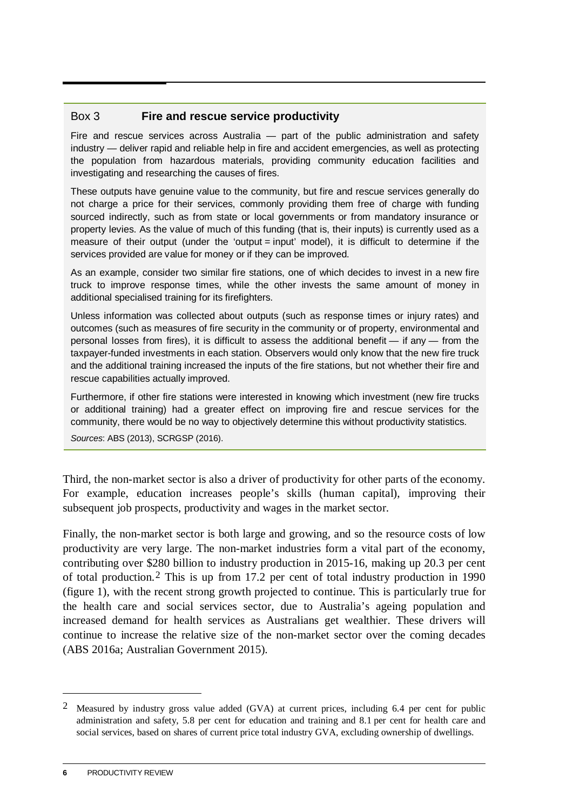#### Box 3 **Fire and rescue service productivity**

Fire and rescue services across Australia — part of the public administration and safety industry — deliver rapid and reliable help in fire and accident emergencies, as well as protecting the population from hazardous materials, providing community education facilities and investigating and researching the causes of fires.

These outputs have genuine value to the community, but fire and rescue services generally do not charge a price for their services, commonly providing them free of charge with funding sourced indirectly, such as from state or local governments or from mandatory insurance or property levies. As the value of much of this funding (that is, their inputs) is currently used as a measure of their output (under the 'output = input' model), it is difficult to determine if the services provided are value for money or if they can be improved.

As an example, consider two similar fire stations, one of which decides to invest in a new fire truck to improve response times, while the other invests the same amount of money in additional specialised training for its firefighters.

Unless information was collected about outputs (such as response times or injury rates) and outcomes (such as measures of fire security in the community or of property, environmental and personal losses from fires), it is difficult to assess the additional benefit — if any — from the taxpayer-funded investments in each station. Observers would only know that the new fire truck and the additional training increased the inputs of the fire stations, but not whether their fire and rescue capabilities actually improved.

Furthermore, if other fire stations were interested in knowing which investment (new fire trucks or additional training) had a greater effect on improving fire and rescue services for the community, there would be no way to objectively determine this without productivity statistics.

*Sources*: ABS (2013), SCRGSP (2016).

Third, the non-market sector is also a driver of productivity for other parts of the economy. For example, education increases people's skills (human capital), improving their subsequent job prospects, productivity and wages in the market sector.

Finally, the non-market sector is both large and growing, and so the resource costs of low productivity are very large. The non-market industries form a vital part of the economy, contributing over \$280 billion to industry production in 2015-16, making up 20.3 per cent of total production.[2](#page-8-0) This is up from 17.2 per cent of total industry production in 1990 (figure 1), with the recent strong growth projected to continue. This is particularly true for the health care and social services sector, due to Australia's ageing population and increased demand for health services as Australians get wealthier. These drivers will continue to increase the relative size of the non-market sector over the coming decades (ABS 2016a; Australian Government 2015).

<u>.</u>

<span id="page-8-0"></span><sup>&</sup>lt;sup>2</sup> Measured by industry gross value added (GVA) at current prices, including 6.4 per cent for public administration and safety, 5.8 per cent for education and training and 8.1 per cent for health care and social services, based on shares of current price total industry GVA, excluding ownership of dwellings.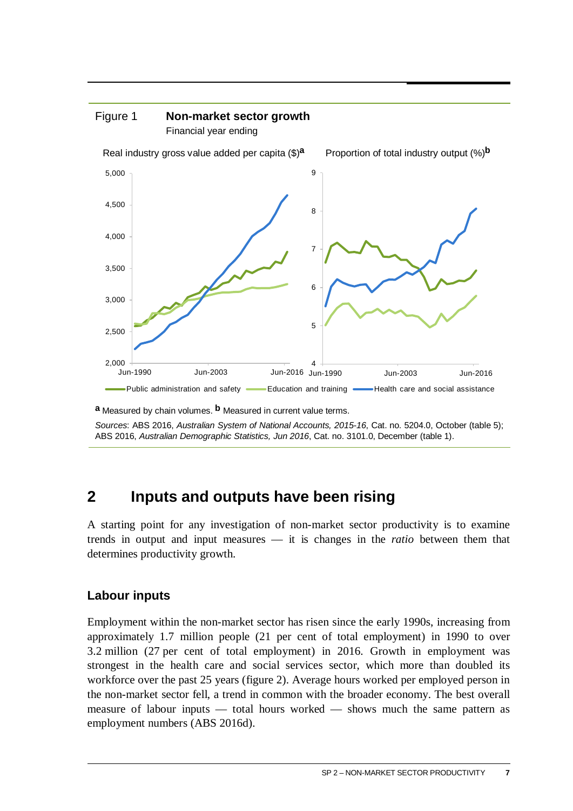<span id="page-9-0"></span>

**a** Measured by chain volumes. **b** Measured in current value terms.

*Sources*: ABS 2016, *Australian System of National Accounts, 2015-16*, Cat. no. 5204.0, October (table 5); ABS 2016, *Australian Demographic Statistics, Jun 2016*, Cat. no. 3101.0, December (table 1).

#### **2 Inputs and outputs have been rising**

A starting point for any investigation of non-market sector productivity is to examine trends in output and input measures — it is changes in the *ratio* between them that determines productivity growth.

#### **Labour inputs**

Employment within the non-market sector has risen since the early 1990s, increasing from approximately 1.7 million people (21 per cent of total employment) in 1990 to over 3.2 million (27 per cent of total employment) in 2016. Growth in employment was strongest in the health care and social services sector, which more than doubled its workforce over the past 25 years (figure 2). Average hours worked per employed person in the non-market sector fell, a trend in common with the broader economy. The best overall measure of labour inputs — total hours worked — shows much the same pattern as employment numbers (ABS 2016d).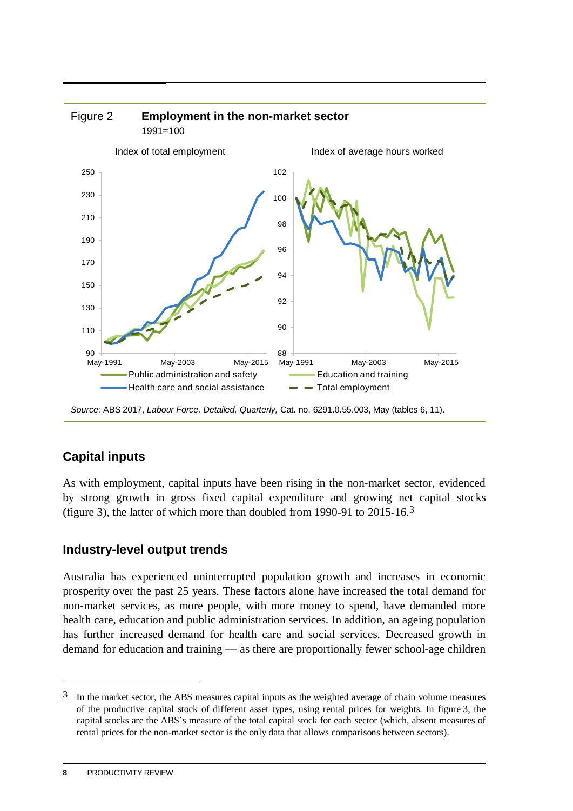

*Source*: ABS 2017, *Labour Force, Detailed, Quarterly,* Cat. no. 6291.0.55.003, May (tables 6, 11).

#### **Capital inputs**

As with employment, capital inputs have been rising in the non-market sector, evidenced by strong growth in gross fixed capital expenditure and growing net capital stocks (figure [3](#page-10-0)), the latter of which more than doubled from 1990-91 to  $2015-16.3$ 

#### **Industry-level output trends**

Australia has experienced uninterrupted population growth and increases in economic prosperity over the past 25 years. These factors alone have increased the total demand for non-market services, as more people, with more money to spend, have demanded more health care, education and public administration services. In addition, an ageing population has further increased demand for health care and social services. Decreased growth in demand for education and training — as there are proportionally fewer school-age children

<u>.</u>

<span id="page-10-0"></span><sup>3</sup> In the market sector, the ABS measures capital inputs as the weighted average of chain volume measures of the productive capital stock of different asset types, using rental prices for weights. In figure 3, the capital stocks are the ABS's measure of the total capital stock for each sector (which, absent measures of rental prices for the non-market sector is the only data that allows comparisons between sectors).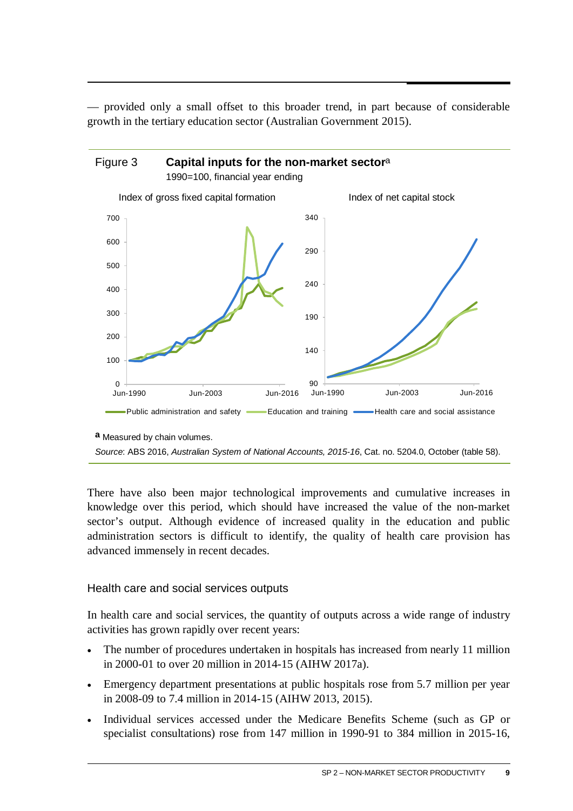— provided only a small offset to this broader trend, in part because of considerable growth in the tertiary education sector (Australian Government 2015).



**a** Measured by chain volumes.

There have also been major technological improvements and cumulative increases in knowledge over this period, which should have increased the value of the non-market sector's output. Although evidence of increased quality in the education and public administration sectors is difficult to identify, the quality of health care provision has advanced immensely in recent decades.

#### Health care and social services outputs

In health care and social services, the quantity of outputs across a wide range of industry activities has grown rapidly over recent years:

- The number of procedures undertaken in hospitals has increased from nearly 11 million in 2000-01 to over 20 million in 2014-15 (AIHW 2017a).
- Emergency department presentations at public hospitals rose from 5.7 million per year in 2008-09 to 7.4 million in 2014-15 (AIHW 2013, 2015).
- Individual services accessed under the Medicare Benefits Scheme (such as GP or specialist consultations) rose from 147 million in 1990-91 to 384 million in 2015-16,

*Source*: ABS 2016, *Australian System of National Accounts, 2015-16*, Cat. no. 5204.0, October (table 58).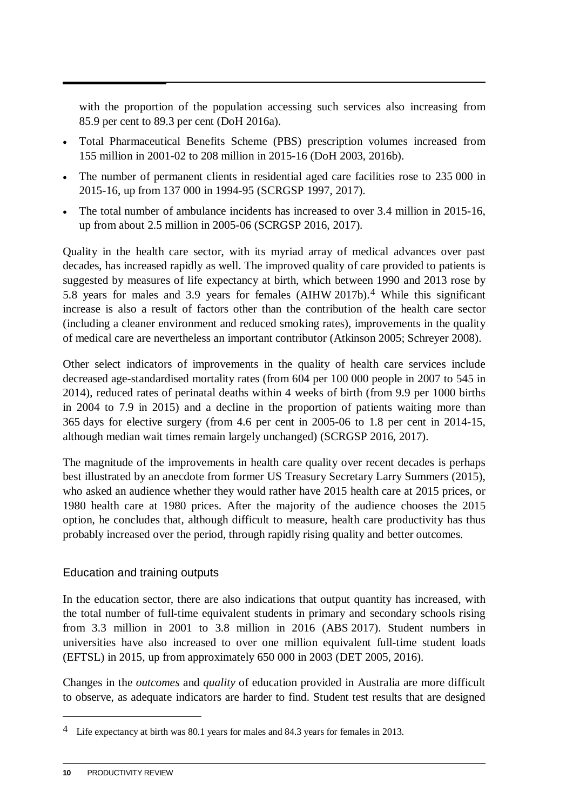with the proportion of the population accessing such services also increasing from 85.9 per cent to 89.3 per cent (DoH 2016a).

- Total Pharmaceutical Benefits Scheme (PBS) prescription volumes increased from 155 million in 2001-02 to 208 million in 2015-16 (DoH 2003, 2016b).
- The number of permanent clients in residential aged care facilities rose to 235 000 in 2015-16, up from 137 000 in 1994-95 (SCRGSP 1997, 2017).
- The total number of ambulance incidents has increased to over 3.4 million in 2015-16. up from about 2.5 million in 2005-06 (SCRGSP 2016, 2017).

Quality in the health care sector, with its myriad array of medical advances over past decades, has increased rapidly as well. The improved quality of care provided to patients is suggested by measures of life expectancy at birth, which between 1990 and 2013 rose by 5.8 years for males and 3.9 years for females (AIHW 2017b).[4](#page-12-0) While this significant increase is also a result of factors other than the contribution of the health care sector (including a cleaner environment and reduced smoking rates), improvements in the quality of medical care are nevertheless an important contributor (Atkinson 2005; Schreyer 2008).

Other select indicators of improvements in the quality of health care services include decreased age-standardised mortality rates (from 604 per 100 000 people in 2007 to 545 in 2014), reduced rates of perinatal deaths within 4 weeks of birth (from 9.9 per 1000 births in 2004 to 7.9 in 2015) and a decline in the proportion of patients waiting more than 365 days for elective surgery (from 4.6 per cent in 2005-06 to 1.8 per cent in 2014-15, although median wait times remain largely unchanged) (SCRGSP 2016, 2017).

The magnitude of the improvements in health care quality over recent decades is perhaps best illustrated by an anecdote from former US Treasury Secretary Larry Summers (2015), who asked an audience whether they would rather have 2015 health care at 2015 prices, or 1980 health care at 1980 prices. After the majority of the audience chooses the 2015 option, he concludes that, although difficult to measure, health care productivity has thus probably increased over the period, through rapidly rising quality and better outcomes.

#### Education and training outputs

In the education sector, there are also indications that output quantity has increased, with the total number of full-time equivalent students in primary and secondary schools rising from 3.3 million in 2001 to 3.8 million in 2016 (ABS 2017). Student numbers in universities have also increased to over one million equivalent full-time student loads (EFTSL) in 2015, up from approximately 650 000 in 2003 (DET 2005, 2016).

Changes in the *outcomes* and *quality* of education provided in Australia are more difficult to observe, as adequate indicators are harder to find. Student test results that are designed

<u>.</u>

<span id="page-12-0"></span><sup>&</sup>lt;sup>4</sup> Life expectancy at birth was 80.1 years for males and 84.3 years for females in 2013.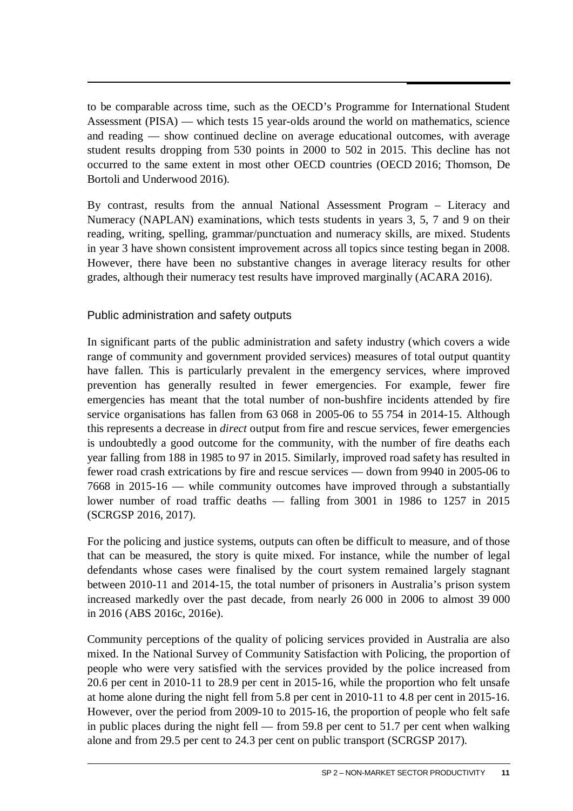to be comparable across time, such as the OECD's Programme for International Student Assessment (PISA) — which tests 15 year-olds around the world on mathematics, science and reading — show continued decline on average educational outcomes, with average student results dropping from 530 points in 2000 to 502 in 2015. This decline has not occurred to the same extent in most other OECD countries (OECD 2016; Thomson, De Bortoli and Underwood 2016).

By contrast, results from the annual National Assessment Program – Literacy and Numeracy (NAPLAN) examinations, which tests students in years 3, 5, 7 and 9 on their reading, writing, spelling, grammar/punctuation and numeracy skills, are mixed. Students in year 3 have shown consistent improvement across all topics since testing began in 2008. However, there have been no substantive changes in average literacy results for other grades, although their numeracy test results have improved marginally (ACARA 2016).

#### Public administration and safety outputs

In significant parts of the public administration and safety industry (which covers a wide range of community and government provided services) measures of total output quantity have fallen. This is particularly prevalent in the emergency services, where improved prevention has generally resulted in fewer emergencies. For example, fewer fire emergencies has meant that the total number of non-bushfire incidents attended by fire service organisations has fallen from 63 068 in 2005-06 to 55 754 in 2014-15. Although this represents a decrease in *direct* output from fire and rescue services, fewer emergencies is undoubtedly a good outcome for the community, with the number of fire deaths each year falling from 188 in 1985 to 97 in 2015. Similarly, improved road safety has resulted in fewer road crash extrications by fire and rescue services — down from 9940 in 2005-06 to 7668 in 2015-16 — while community outcomes have improved through a substantially lower number of road traffic deaths — falling from 3001 in 1986 to 1257 in 2015 (SCRGSP 2016, 2017).

For the policing and justice systems, outputs can often be difficult to measure, and of those that can be measured, the story is quite mixed. For instance, while the number of legal defendants whose cases were finalised by the court system remained largely stagnant between 2010-11 and 2014-15, the total number of prisoners in Australia's prison system increased markedly over the past decade, from nearly 26 000 in 2006 to almost 39 000 in 2016 (ABS 2016c, 2016e).

Community perceptions of the quality of policing services provided in Australia are also mixed. In the National Survey of Community Satisfaction with Policing, the proportion of people who were very satisfied with the services provided by the police increased from 20.6 per cent in 2010-11 to 28.9 per cent in 2015-16, while the proportion who felt unsafe at home alone during the night fell from 5.8 per cent in 2010-11 to 4.8 per cent in 2015-16. However, over the period from 2009-10 to 2015-16, the proportion of people who felt safe in public places during the night fell — from 59.8 per cent to 51.7 per cent when walking alone and from 29.5 per cent to 24.3 per cent on public transport (SCRGSP 2017).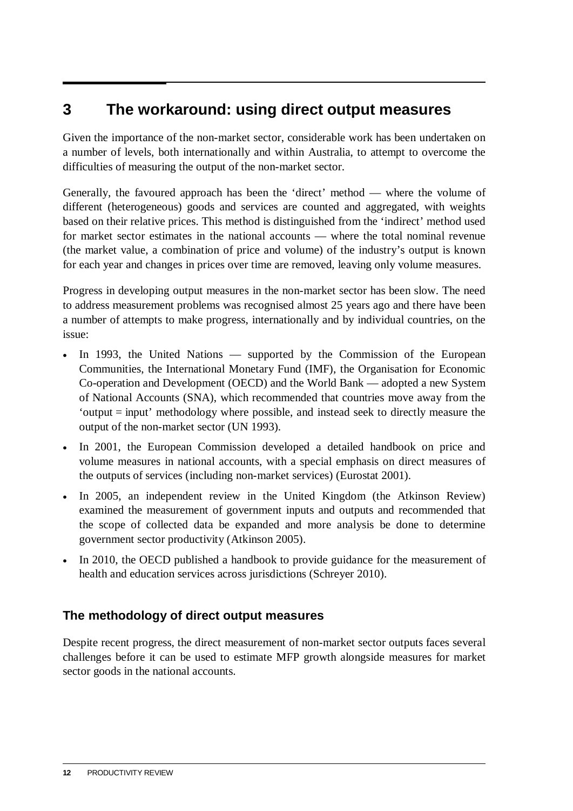### <span id="page-14-0"></span>**3 The workaround: using direct output measures**

Given the importance of the non-market sector, considerable work has been undertaken on a number of levels, both internationally and within Australia, to attempt to overcome the difficulties of measuring the output of the non-market sector.

Generally, the favoured approach has been the 'direct' method — where the volume of different (heterogeneous) goods and services are counted and aggregated, with weights based on their relative prices. This method is distinguished from the 'indirect' method used for market sector estimates in the national accounts — where the total nominal revenue (the market value, a combination of price and volume) of the industry's output is known for each year and changes in prices over time are removed, leaving only volume measures.

Progress in developing output measures in the non-market sector has been slow. The need to address measurement problems was recognised almost 25 years ago and there have been a number of attempts to make progress, internationally and by individual countries, on the issue:

- In 1993, the United Nations supported by the Commission of the European Communities, the International Monetary Fund (IMF), the Organisation for Economic Co-operation and Development (OECD) and the World Bank — adopted a new System of National Accounts (SNA), which recommended that countries move away from the 'output = input' methodology where possible, and instead seek to directly measure the output of the non-market sector (UN 1993).
- In 2001, the European Commission developed a detailed handbook on price and volume measures in national accounts, with a special emphasis on direct measures of the outputs of services (including non-market services) (Eurostat 2001).
- In 2005, an independent review in the United Kingdom (the Atkinson Review) examined the measurement of government inputs and outputs and recommended that the scope of collected data be expanded and more analysis be done to determine government sector productivity (Atkinson 2005).
- In 2010, the OECD published a handbook to provide guidance for the measurement of health and education services across jurisdictions (Schreyer 2010).

#### **The methodology of direct output measures**

Despite recent progress, the direct measurement of non-market sector outputs faces several challenges before it can be used to estimate MFP growth alongside measures for market sector goods in the national accounts.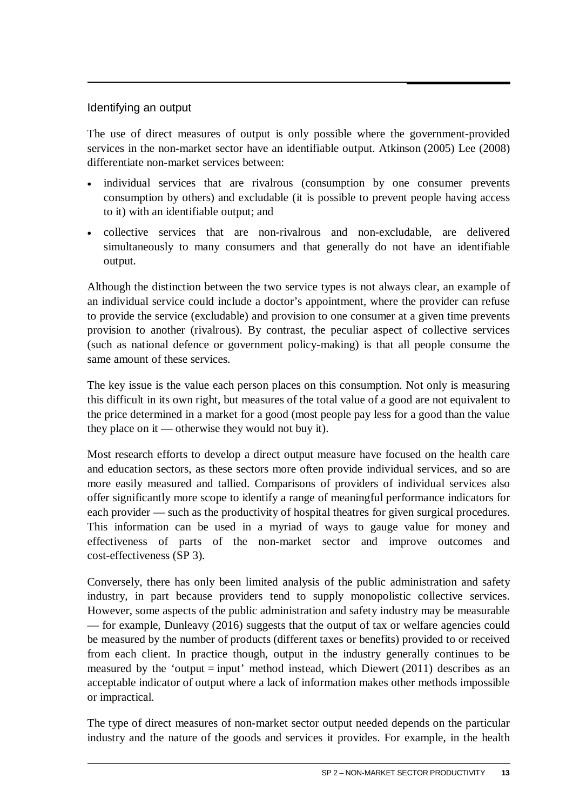#### Identifying an output

The use of direct measures of output is only possible where the government-provided services in the non-market sector have an identifiable output. Atkinson (2005) Lee (2008) differentiate non-market services between:

- individual services that are rivalrous (consumption by one consumer prevents consumption by others) and excludable (it is possible to prevent people having access to it) with an identifiable output; and
- collective services that are non-rivalrous and non-excludable, are delivered simultaneously to many consumers and that generally do not have an identifiable output.

Although the distinction between the two service types is not always clear, an example of an individual service could include a doctor's appointment, where the provider can refuse to provide the service (excludable) and provision to one consumer at a given time prevents provision to another (rivalrous). By contrast, the peculiar aspect of collective services (such as national defence or government policy-making) is that all people consume the same amount of these services.

The key issue is the value each person places on this consumption. Not only is measuring this difficult in its own right, but measures of the total value of a good are not equivalent to the price determined in a market for a good (most people pay less for a good than the value they place on it — otherwise they would not buy it).

Most research efforts to develop a direct output measure have focused on the health care and education sectors, as these sectors more often provide individual services, and so are more easily measured and tallied. Comparisons of providers of individual services also offer significantly more scope to identify a range of meaningful performance indicators for each provider — such as the productivity of hospital theatres for given surgical procedures. This information can be used in a myriad of ways to gauge value for money and effectiveness of parts of the non-market sector and improve outcomes and cost-effectiveness (SP 3).

Conversely, there has only been limited analysis of the public administration and safety industry, in part because providers tend to supply monopolistic collective services. However, some aspects of the public administration and safety industry may be measurable — for example, Dunleavy (2016) suggests that the output of tax or welfare agencies could be measured by the number of products (different taxes or benefits) provided to or received from each client. In practice though, output in the industry generally continues to be measured by the 'output  $=$  input' method instead, which Diewert (2011) describes as an acceptable indicator of output where a lack of information makes other methods impossible or impractical.

The type of direct measures of non-market sector output needed depends on the particular industry and the nature of the goods and services it provides. For example, in the health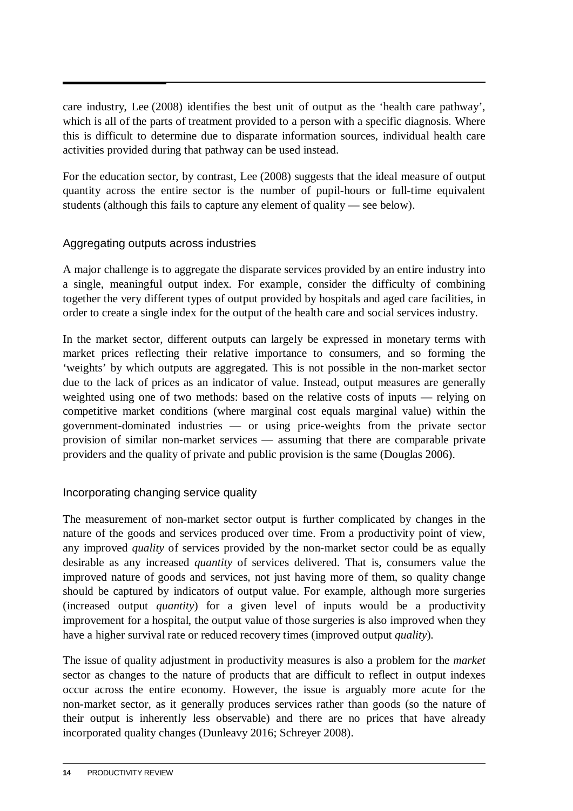care industry, Lee (2008) identifies the best unit of output as the 'health care pathway', which is all of the parts of treatment provided to a person with a specific diagnosis. Where this is difficult to determine due to disparate information sources, individual health care activities provided during that pathway can be used instead.

For the education sector, by contrast, Lee (2008) suggests that the ideal measure of output quantity across the entire sector is the number of pupil-hours or full-time equivalent students (although this fails to capture any element of quality — see below).

#### Aggregating outputs across industries

A major challenge is to aggregate the disparate services provided by an entire industry into a single, meaningful output index. For example, consider the difficulty of combining together the very different types of output provided by hospitals and aged care facilities, in order to create a single index for the output of the health care and social services industry.

In the market sector, different outputs can largely be expressed in monetary terms with market prices reflecting their relative importance to consumers, and so forming the 'weights' by which outputs are aggregated. This is not possible in the non-market sector due to the lack of prices as an indicator of value. Instead, output measures are generally weighted using one of two methods: based on the relative costs of inputs — relying on competitive market conditions (where marginal cost equals marginal value) within the government-dominated industries — or using price-weights from the private sector provision of similar non-market services — assuming that there are comparable private providers and the quality of private and public provision is the same (Douglas 2006).

#### Incorporating changing service quality

The measurement of non-market sector output is further complicated by changes in the nature of the goods and services produced over time. From a productivity point of view, any improved *quality* of services provided by the non-market sector could be as equally desirable as any increased *quantity* of services delivered. That is, consumers value the improved nature of goods and services, not just having more of them, so quality change should be captured by indicators of output value. For example, although more surgeries (increased output *quantity*) for a given level of inputs would be a productivity improvement for a hospital, the output value of those surgeries is also improved when they have a higher survival rate or reduced recovery times (improved output *quality*).

The issue of quality adjustment in productivity measures is also a problem for the *market* sector as changes to the nature of products that are difficult to reflect in output indexes occur across the entire economy. However, the issue is arguably more acute for the non-market sector, as it generally produces services rather than goods (so the nature of their output is inherently less observable) and there are no prices that have already incorporated quality changes (Dunleavy 2016; Schreyer 2008).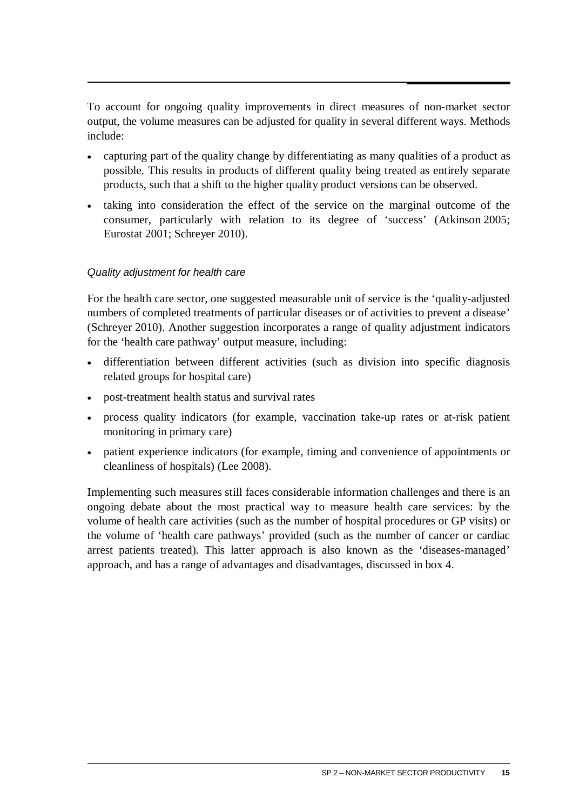To account for ongoing quality improvements in direct measures of non-market sector output, the volume measures can be adjusted for quality in several different ways. Methods include:

- capturing part of the quality change by differentiating as many qualities of a product as possible. This results in products of different quality being treated as entirely separate products, such that a shift to the higher quality product versions can be observed.
- taking into consideration the effect of the service on the marginal outcome of the consumer, particularly with relation to its degree of 'success' (Atkinson 2005; Eurostat 2001; Schreyer 2010).

#### *Quality adjustment for health care*

For the health care sector, one suggested measurable unit of service is the 'quality-adjusted numbers of completed treatments of particular diseases or of activities to prevent a disease' (Schreyer 2010). Another suggestion incorporates a range of quality adjustment indicators for the 'health care pathway' output measure, including:

- differentiation between different activities (such as division into specific diagnosis related groups for hospital care)
- post-treatment health status and survival rates
- process quality indicators (for example, vaccination take-up rates or at-risk patient monitoring in primary care)
- patient experience indicators (for example, timing and convenience of appointments or cleanliness of hospitals) (Lee 2008).

Implementing such measures still faces considerable information challenges and there is an ongoing debate about the most practical way to measure health care services: by the volume of health care activities (such as the number of hospital procedures or GP visits) or the volume of 'health care pathways' provided (such as the number of cancer or cardiac arrest patients treated). This latter approach is also known as the 'diseases-managed' approach, and has a range of advantages and disadvantages, discussed in box 4.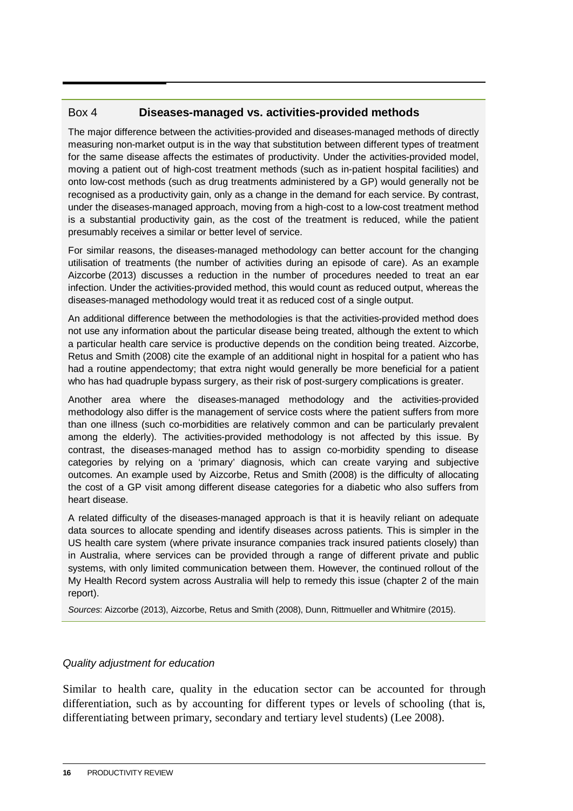#### Box 4 **Diseases-managed vs. activities-provided methods**

The major difference between the activities-provided and diseases-managed methods of directly measuring non-market output is in the way that substitution between different types of treatment for the same disease affects the estimates of productivity. Under the activities-provided model, moving a patient out of high-cost treatment methods (such as in-patient hospital facilities) and onto low-cost methods (such as drug treatments administered by a GP) would generally not be recognised as a productivity gain, only as a change in the demand for each service. By contrast, under the diseases-managed approach, moving from a high-cost to a low-cost treatment method is a substantial productivity gain, as the cost of the treatment is reduced, while the patient presumably receives a similar or better level of service.

For similar reasons, the diseases-managed methodology can better account for the changing utilisation of treatments (the number of activities during an episode of care). As an example Aizcorbe (2013) discusses a reduction in the number of procedures needed to treat an ear infection. Under the activities-provided method, this would count as reduced output, whereas the diseases-managed methodology would treat it as reduced cost of a single output.

An additional difference between the methodologies is that the activities-provided method does not use any information about the particular disease being treated, although the extent to which a particular health care service is productive depends on the condition being treated. Aizcorbe, Retus and Smith (2008) cite the example of an additional night in hospital for a patient who has had a routine appendectomy; that extra night would generally be more beneficial for a patient who has had quadruple bypass surgery, as their risk of post-surgery complications is greater.

Another area where the diseases-managed methodology and the activities-provided methodology also differ is the management of service costs where the patient suffers from more than one illness (such co-morbidities are relatively common and can be particularly prevalent among the elderly). The activities-provided methodology is not affected by this issue. By contrast, the diseases-managed method has to assign co-morbidity spending to disease categories by relying on a 'primary' diagnosis, which can create varying and subjective outcomes. An example used by Aizcorbe, Retus and Smith (2008) is the difficulty of allocating the cost of a GP visit among different disease categories for a diabetic who also suffers from heart disease.

A related difficulty of the diseases-managed approach is that it is heavily reliant on adequate data sources to allocate spending and identify diseases across patients. This is simpler in the US health care system (where private insurance companies track insured patients closely) than in Australia, where services can be provided through a range of different private and public systems, with only limited communication between them. However, the continued rollout of the My Health Record system across Australia will help to remedy this issue (chapter 2 of the main report).

*Sources*: Aizcorbe (2013), Aizcorbe, Retus and Smith (2008), Dunn, Rittmueller and Whitmire (2015).

#### *Quality adjustment for education*

Similar to health care, quality in the education sector can be accounted for through differentiation, such as by accounting for different types or levels of schooling (that is, differentiating between primary, secondary and tertiary level students) (Lee 2008).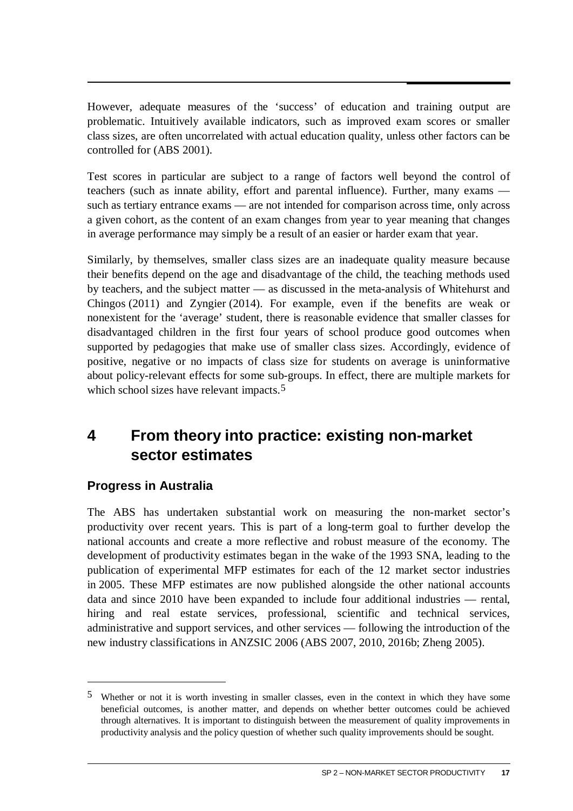<span id="page-19-0"></span>However, adequate measures of the 'success' of education and training output are problematic. Intuitively available indicators, such as improved exam scores or smaller class sizes, are often uncorrelated with actual education quality, unless other factors can be controlled for (ABS 2001).

Test scores in particular are subject to a range of factors well beyond the control of teachers (such as innate ability, effort and parental influence). Further, many exams such as tertiary entrance exams — are not intended for comparison across time, only across a given cohort, as the content of an exam changes from year to year meaning that changes in average performance may simply be a result of an easier or harder exam that year.

Similarly, by themselves, smaller class sizes are an inadequate quality measure because their benefits depend on the age and disadvantage of the child, the teaching methods used by teachers, and the subject matter — as discussed in the meta-analysis of Whitehurst and Chingos (2011) and Zyngier (2014). For example, even if the benefits are weak or nonexistent for the 'average' student, there is reasonable evidence that smaller classes for disadvantaged children in the first four years of school produce good outcomes when supported by pedagogies that make use of smaller class sizes. Accordingly, evidence of positive, negative or no impacts of class size for students on average is uninformative about policy-relevant effects for some sub-groups. In effect, there are multiple markets for which school sizes have relevant impacts.<sup>[5](#page-19-1)</sup>

# **4 From theory into practice: existing non-market sector estimates**

#### **Progress in Australia**

 $\overline{a}$ 

The ABS has undertaken substantial work on measuring the non-market sector's productivity over recent years. This is part of a long-term goal to further develop the national accounts and create a more reflective and robust measure of the economy. The development of productivity estimates began in the wake of the 1993 SNA, leading to the publication of experimental MFP estimates for each of the 12 market sector industries in 2005. These MFP estimates are now published alongside the other national accounts data and since 2010 have been expanded to include four additional industries — rental, hiring and real estate services, professional, scientific and technical services, administrative and support services, and other services — following the introduction of the new industry classifications in ANZSIC 2006 (ABS 2007, 2010, 2016b; Zheng 2005).

<span id="page-19-1"></span><sup>5</sup> Whether or not it is worth investing in smaller classes, even in the context in which they have some beneficial outcomes, is another matter, and depends on whether better outcomes could be achieved through alternatives. It is important to distinguish between the measurement of quality improvements in productivity analysis and the policy question of whether such quality improvements should be sought.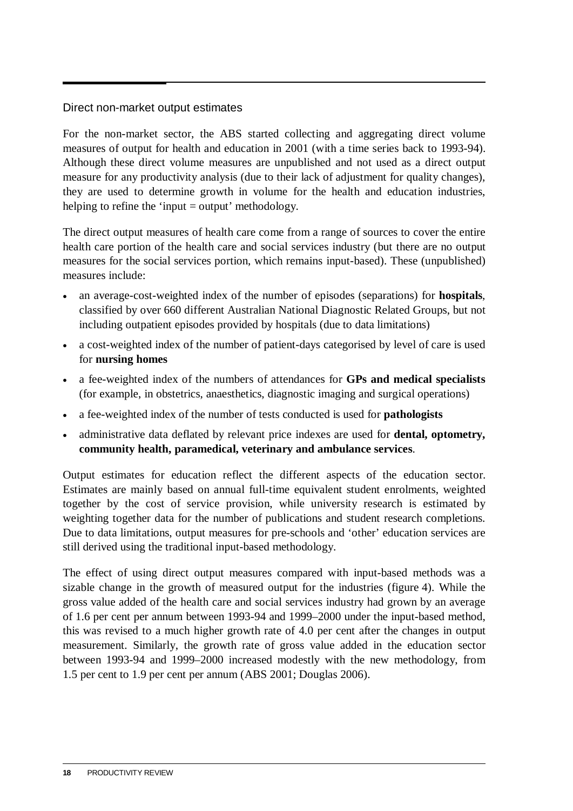#### Direct non-market output estimates

For the non-market sector, the ABS started collecting and aggregating direct volume measures of output for health and education in 2001 (with a time series back to 1993-94). Although these direct volume measures are unpublished and not used as a direct output measure for any productivity analysis (due to their lack of adjustment for quality changes), they are used to determine growth in volume for the health and education industries, helping to refine the 'input = output' methodology.

The direct output measures of health care come from a range of sources to cover the entire health care portion of the health care and social services industry (but there are no output measures for the social services portion, which remains input-based). These (unpublished) measures include:

- an average-cost-weighted index of the number of episodes (separations) for **hospitals**, classified by over 660 different Australian National Diagnostic Related Groups, but not including outpatient episodes provided by hospitals (due to data limitations)
- a cost-weighted index of the number of patient-days categorised by level of care is used for **nursing homes**
- a fee-weighted index of the numbers of attendances for **GPs and medical specialists** (for example, in obstetrics, anaesthetics, diagnostic imaging and surgical operations)
- a fee-weighted index of the number of tests conducted is used for **pathologists**
- administrative data deflated by relevant price indexes are used for **dental, optometry, community health, paramedical, veterinary and ambulance services**.

Output estimates for education reflect the different aspects of the education sector. Estimates are mainly based on annual full-time equivalent student enrolments, weighted together by the cost of service provision, while university research is estimated by weighting together data for the number of publications and student research completions. Due to data limitations, output measures for pre-schools and 'other' education services are still derived using the traditional input-based methodology.

The effect of using direct output measures compared with input-based methods was a sizable change in the growth of measured output for the industries (figure 4). While the gross value added of the health care and social services industry had grown by an average of 1.6 per cent per annum between 1993-94 and 1999–2000 under the input-based method, this was revised to a much higher growth rate of 4.0 per cent after the changes in output measurement. Similarly, the growth rate of gross value added in the education sector between 1993-94 and 1999–2000 increased modestly with the new methodology, from 1.5 per cent to 1.9 per cent per annum (ABS 2001; Douglas 2006).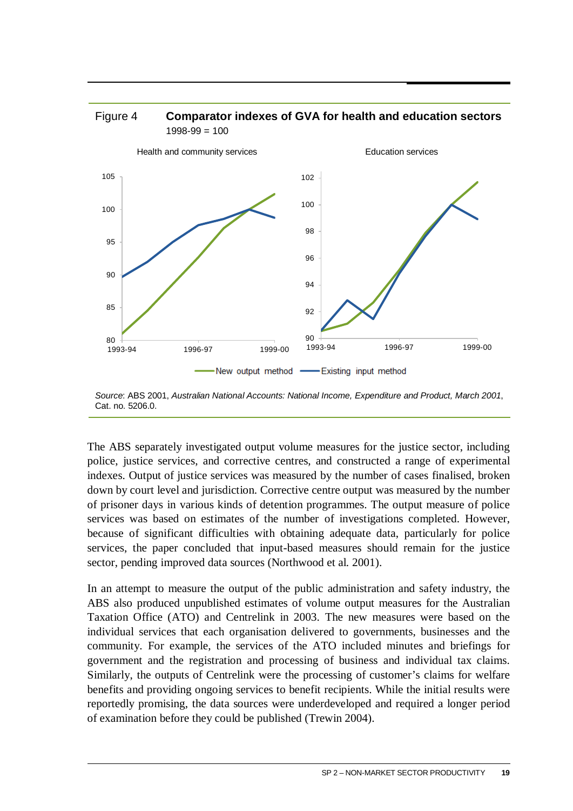

*Source*: ABS 2001, *Australian National Accounts: National Income, Expenditure and Product, March 2001*, Cat. no. 5206.0.

90

New output method - Existing input method

1993-94 1996-97 1999-00

92

94

96

98

80

1993-94 1996-97 1999-00

85

 $90$ 

95

The ABS separately investigated output volume measures for the justice sector, including police, justice services, and corrective centres, and constructed a range of experimental indexes. Output of justice services was measured by the number of cases finalised, broken down by court level and jurisdiction. Corrective centre output was measured by the number of prisoner days in various kinds of detention programmes. The output measure of police services was based on estimates of the number of investigations completed. However, because of significant difficulties with obtaining adequate data, particularly for police services, the paper concluded that input-based measures should remain for the justice sector, pending improved data sources (Northwood et al. 2001).

In an attempt to measure the output of the public administration and safety industry, the ABS also produced unpublished estimates of volume output measures for the Australian Taxation Office (ATO) and Centrelink in 2003. The new measures were based on the individual services that each organisation delivered to governments, businesses and the community. For example, the services of the ATO included minutes and briefings for government and the registration and processing of business and individual tax claims. Similarly, the outputs of Centrelink were the processing of customer's claims for welfare benefits and providing ongoing services to benefit recipients. While the initial results were reportedly promising, the data sources were underdeveloped and required a longer period of examination before they could be published (Trewin 2004).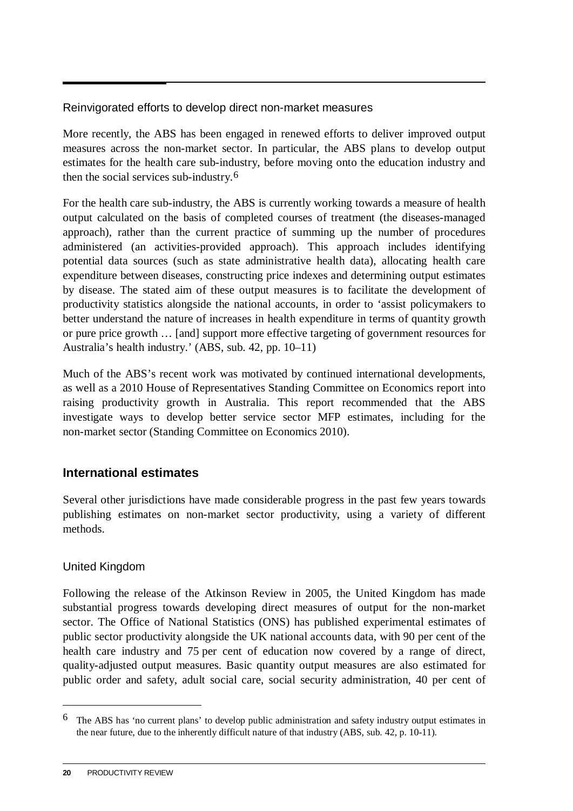Reinvigorated efforts to develop direct non-market measures

More recently, the ABS has been engaged in renewed efforts to deliver improved output measures across the non-market sector. In particular, the ABS plans to develop output estimates for the health care sub-industry, before moving onto the education industry and then the social services sub-industry.[6](#page-22-0) 

For the health care sub-industry, the ABS is currently working towards a measure of health output calculated on the basis of completed courses of treatment (the diseases-managed approach), rather than the current practice of summing up the number of procedures administered (an activities-provided approach). This approach includes identifying potential data sources (such as state administrative health data), allocating health care expenditure between diseases, constructing price indexes and determining output estimates by disease. The stated aim of these output measures is to facilitate the development of productivity statistics alongside the national accounts, in order to 'assist policymakers to better understand the nature of increases in health expenditure in terms of quantity growth or pure price growth … [and] support more effective targeting of government resources for Australia's health industry.' (ABS, sub. 42, pp. 10–11)

Much of the ABS's recent work was motivated by continued international developments, as well as a 2010 House of Representatives Standing Committee on Economics report into raising productivity growth in Australia. This report recommended that the ABS investigate ways to develop better service sector MFP estimates, including for the non-market sector (Standing Committee on Economics 2010).

#### **International estimates**

Several other jurisdictions have made considerable progress in the past few years towards publishing estimates on non-market sector productivity, using a variety of different methods.

#### United Kingdom

Following the release of the Atkinson Review in 2005, the United Kingdom has made substantial progress towards developing direct measures of output for the non-market sector. The Office of National Statistics (ONS) has published experimental estimates of public sector productivity alongside the UK national accounts data, with 90 per cent of the health care industry and 75 per cent of education now covered by a range of direct, quality-adjusted output measures. Basic quantity output measures are also estimated for public order and safety, adult social care, social security administration, 40 per cent of

<u>.</u>

<span id="page-22-0"></span><sup>6</sup> The ABS has 'no current plans' to develop public administration and safety industry output estimates in the near future, due to the inherently difficult nature of that industry (ABS, sub. 42, p. 10-11).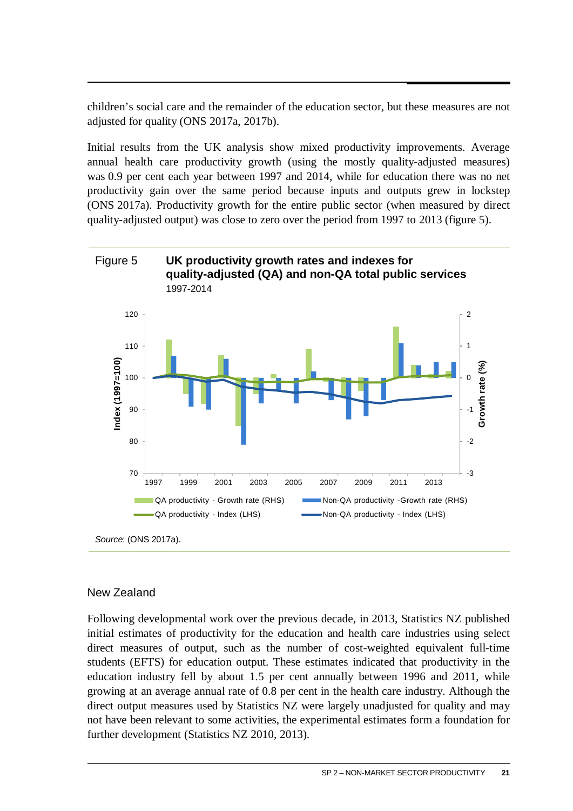children's social care and the remainder of the education sector, but these measures are not adjusted for quality (ONS 2017a, 2017b).

Initial results from the UK analysis show mixed productivity improvements. Average annual health care productivity growth (using the mostly quality-adjusted measures) was 0.9 per cent each year between 1997 and 2014, while for education there was no net productivity gain over the same period because inputs and outputs grew in lockstep (ONS 2017a). Productivity growth for the entire public sector (when measured by direct quality-adjusted output) was close to zero over the period from 1997 to 2013 (figure 5).



#### New Zealand

Following developmental work over the previous decade, in 2013, Statistics NZ published initial estimates of productivity for the education and health care industries using select direct measures of output, such as the number of cost-weighted equivalent full-time students (EFTS) for education output. These estimates indicated that productivity in the education industry fell by about 1.5 per cent annually between 1996 and 2011, while growing at an average annual rate of 0.8 per cent in the health care industry. Although the direct output measures used by Statistics NZ were largely unadjusted for quality and may not have been relevant to some activities, the experimental estimates form a foundation for further development (Statistics NZ 2010, 2013).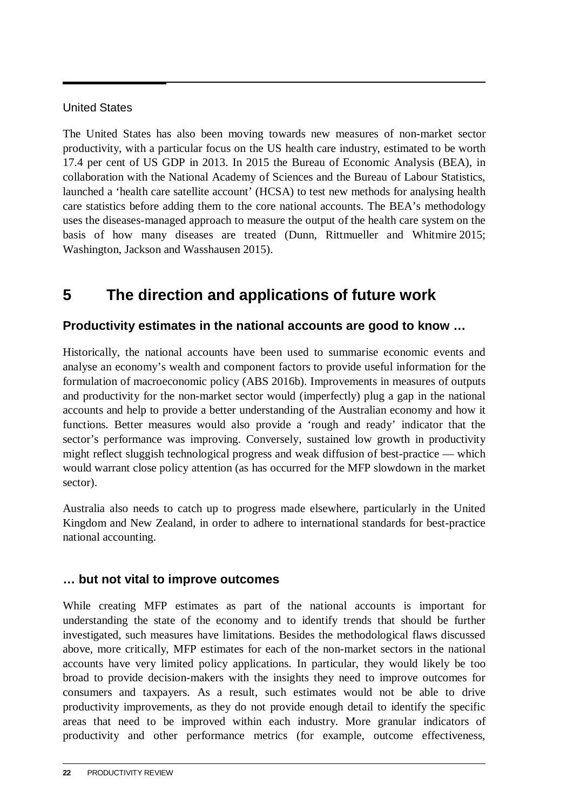#### <span id="page-24-0"></span>United States

The United States has also been moving towards new measures of non-market sector productivity, with a particular focus on the US health care industry, estimated to be worth 17.4 per cent of US GDP in 2013. In 2015 the Bureau of Economic Analysis (BEA), in collaboration with the National Academy of Sciences and the Bureau of Labour Statistics, launched a 'health care satellite account' (HCSA) to test new methods for analysing health care statistics before adding them to the core national accounts. The BEA's methodology uses the diseases-managed approach to measure the output of the health care system on the basis of how many diseases are treated (Dunn, Rittmueller and Whitmire 2015; Washington, Jackson and Wasshausen 2015).

# **5 The direction and applications of future work**

#### **Productivity estimates in the national accounts are good to know …**

Historically, the national accounts have been used to summarise economic events and analyse an economy's wealth and component factors to provide useful information for the formulation of macroeconomic policy (ABS 2016b). Improvements in measures of outputs and productivity for the non-market sector would (imperfectly) plug a gap in the national accounts and help to provide a better understanding of the Australian economy and how it functions. Better measures would also provide a 'rough and ready' indicator that the sector's performance was improving. Conversely, sustained low growth in productivity might reflect sluggish technological progress and weak diffusion of best-practice — which would warrant close policy attention (as has occurred for the MFP slowdown in the market sector).

Australia also needs to catch up to progress made elsewhere, particularly in the United Kingdom and New Zealand, in order to adhere to international standards for best-practice national accounting.

#### **… but not vital to improve outcomes**

While creating MFP estimates as part of the national accounts is important for understanding the state of the economy and to identify trends that should be further investigated, such measures have limitations. Besides the methodological flaws discussed above, more critically, MFP estimates for each of the non-market sectors in the national accounts have very limited policy applications. In particular, they would likely be too broad to provide decision-makers with the insights they need to improve outcomes for consumers and taxpayers. As a result, such estimates would not be able to drive productivity improvements, as they do not provide enough detail to identify the specific areas that need to be improved within each industry. More granular indicators of productivity and other performance metrics (for example, outcome effectiveness,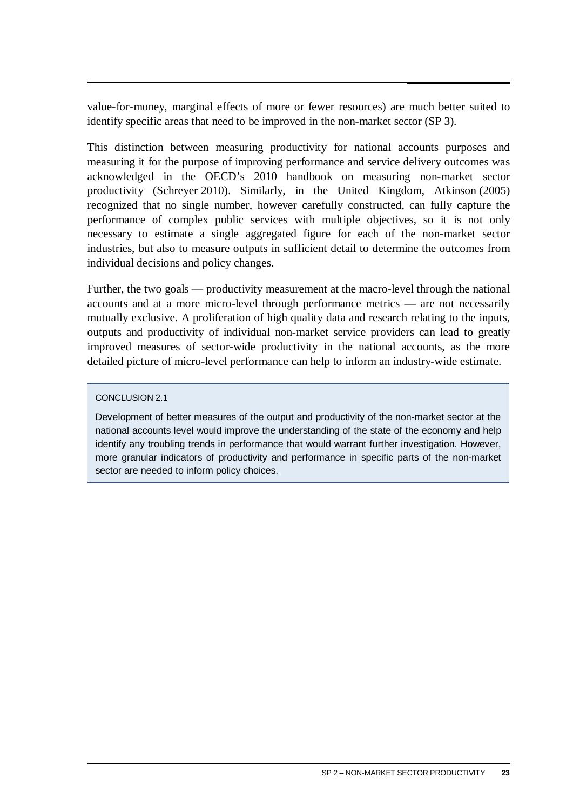value-for-money, marginal effects of more or fewer resources) are much better suited to identify specific areas that need to be improved in the non-market sector (SP 3).

This distinction between measuring productivity for national accounts purposes and measuring it for the purpose of improving performance and service delivery outcomes was acknowledged in the OECD's 2010 handbook on measuring non-market sector productivity (Schreyer 2010). Similarly, in the United Kingdom, Atkinson (2005) recognized that no single number, however carefully constructed, can fully capture the performance of complex public services with multiple objectives, so it is not only necessary to estimate a single aggregated figure for each of the non-market sector industries, but also to measure outputs in sufficient detail to determine the outcomes from individual decisions and policy changes.

Further, the two goals — productivity measurement at the macro-level through the national accounts and at a more micro-level through performance metrics — are not necessarily mutually exclusive. A proliferation of high quality data and research relating to the inputs, outputs and productivity of individual non-market service providers can lead to greatly improved measures of sector-wide productivity in the national accounts, as the more detailed picture of micro-level performance can help to inform an industry-wide estimate.

#### CONCLUSION 2.1

Development of better measures of the output and productivity of the non-market sector at the national accounts level would improve the understanding of the state of the economy and help identify any troubling trends in performance that would warrant further investigation. However, more granular indicators of productivity and performance in specific parts of the non-market sector are needed to inform policy choices.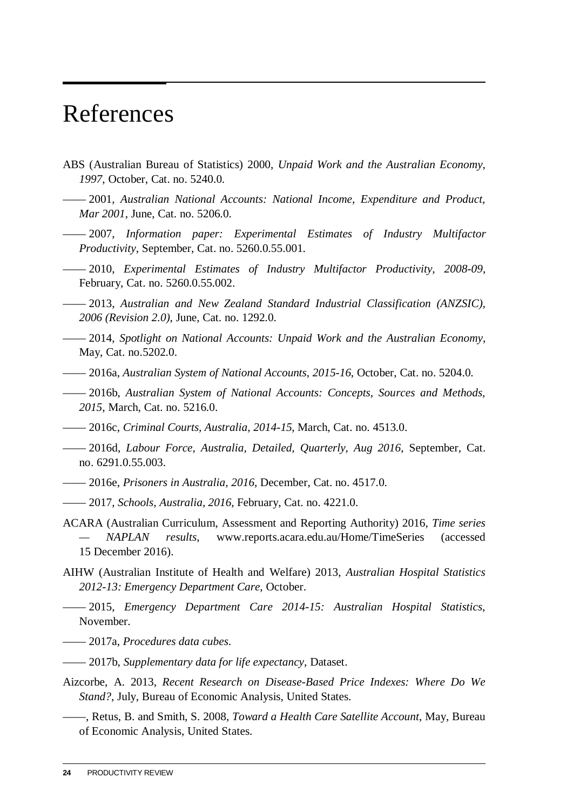# <span id="page-26-0"></span>References

- ABS (Australian Bureau of Statistics) 2000, *Unpaid Work and the Australian Economy, 1997*, October, Cat. no. 5240.0.
- —— 2001, *Australian National Accounts: National Income, Expenditure and Product, Mar 2001*, June, Cat. no. 5206.0.
- —— 2007, *Information paper: Experimental Estimates of Industry Multifactor Productivity*, September, Cat. no. 5260.0.55.001.
- —— 2010, *Experimental Estimates of Industry Multifactor Productivity, 2008-09*, February, Cat. no. 5260.0.55.002.
- —— 2013, *Australian and New Zealand Standard Industrial Classification (ANZSIC), 2006 (Revision 2.0)*, June, Cat. no. 1292.0.
- —— 2014, *Spotlight on National Accounts: Unpaid Work and the Australian Economy*, May, Cat. no.5202.0.
- —— 2016a, *Australian System of National Accounts, 2015-16*, October, Cat. no. 5204.0.
- —— 2016b, *Australian System of National Accounts: Concepts, Sources and Methods, 2015*, March, Cat. no. 5216.0.
- —— 2016c, *Criminal Courts, Australia, 2014-15*, March, Cat. no. 4513.0.
- —— 2016d, *Labour Force, Australia, Detailed, Quarterly, Aug 2016*, September, Cat. no. 6291.0.55.003.
- —— 2016e, *Prisoners in Australia, 2016*, December, Cat. no. 4517.0.
- —— 2017, *Schools, Australia, 2016*, February, Cat. no. 4221.0.
- ACARA (Australian Curriculum, Assessment and Reporting Authority) 2016, *Time series — NAPLAN results*, www.reports.acara.edu.au/Home/TimeSeries (accessed 15 December 2016).
- AIHW (Australian Institute of Health and Welfare) 2013, *Australian Hospital Statistics 2012-13: Emergency Department Care*, October.
- —— 2015, *Emergency Department Care 2014-15: Australian Hospital Statistics*, November.
- —— 2017a, *Procedures data cubes*.
- —— 2017b, *Supplementary data for life expectancy*, Dataset.
- Aizcorbe, A. 2013, *Recent Research on Disease-Based Price Indexes: Where Do We Stand?*, July, Bureau of Economic Analysis, United States.
- ——, Retus, B. and Smith, S. 2008, *Toward a Health Care Satellite Account*, May, Bureau of Economic Analysis, United States.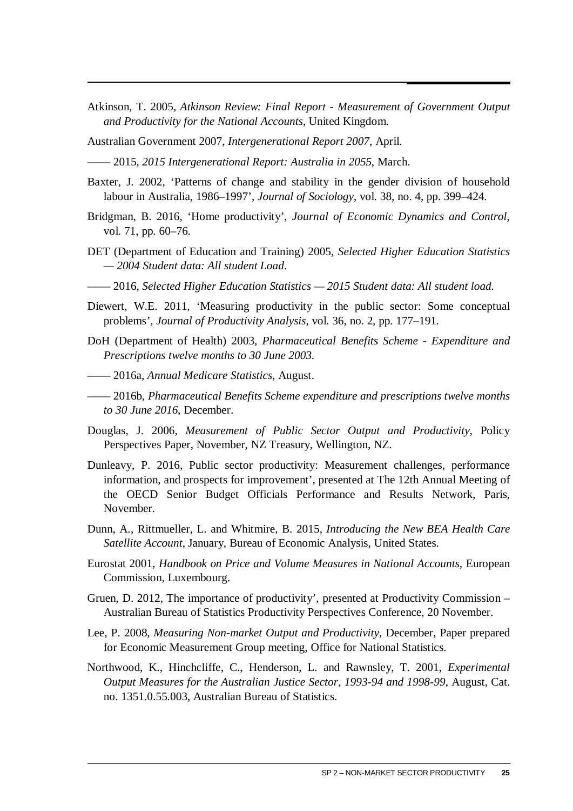- Atkinson, T. 2005, *Atkinson Review: Final Report Measurement of Government Output and Productivity for the National Accounts*, United Kingdom.
- Australian Government 2007, *Intergenerational Report 2007*, April.

—— 2015, *2015 Intergenerational Report: Australia in 2055*, March.

- Baxter, J. 2002, 'Patterns of change and stability in the gender division of household labour in Australia, 1986–1997', *Journal of Sociology*, vol. 38, no. 4, pp. 399–424.
- Bridgman, B. 2016, 'Home productivity', *Journal of Economic Dynamics and Control*, vol. 71, pp. 60–76.
- DET (Department of Education and Training) 2005, *Selected Higher Education Statistics — 2004 Student data: All student Load*.
- —— 2016, *Selected Higher Education Statistics 2015 Student data: All student load*.
- Diewert, W.E. 2011, 'Measuring productivity in the public sector: Some conceptual problems', *Journal of Productivity Analysis*, vol. 36, no. 2, pp. 177–191.
- DoH (Department of Health) 2003, *Pharmaceutical Benefits Scheme Expenditure and Prescriptions twelve months to 30 June 2003*.
- —— 2016a, *Annual Medicare Statistics*, August.
- —— 2016b, *Pharmaceutical Benefits Scheme expenditure and prescriptions twelve months to 30 June 2016*, December.
- Douglas, J. 2006, *Measurement of Public Sector Output and Productivity*, Policy Perspectives Paper, November, NZ Treasury, Wellington, NZ.
- Dunleavy, P. 2016, Public sector productivity: Measurement challenges, performance information, and prospects for improvement', presented at The 12th Annual Meeting of the OECD Senior Budget Officials Performance and Results Network, Paris, November.
- Dunn, A., Rittmueller, L. and Whitmire, B. 2015, *Introducing the New BEA Health Care Satellite Account*, January, Bureau of Economic Analysis, United States.
- Eurostat 2001, *Handbook on Price and Volume Measures in National Accounts*, European Commission, Luxembourg.
- Gruen, D. 2012, The importance of productivity', presented at Productivity Commission Australian Bureau of Statistics Productivity Perspectives Conference, 20 November.
- Lee, P. 2008, *Measuring Non-market Output and Productivity*, December, Paper prepared for Economic Measurement Group meeting, Office for National Statistics.
- Northwood, K., Hinchcliffe, C., Henderson, L. and Rawnsley, T. 2001, *Experimental Output Measures for the Australian Justice Sector, 1993-94 and 1998-99*, August, Cat. no. 1351.0.55.003, Australian Bureau of Statistics.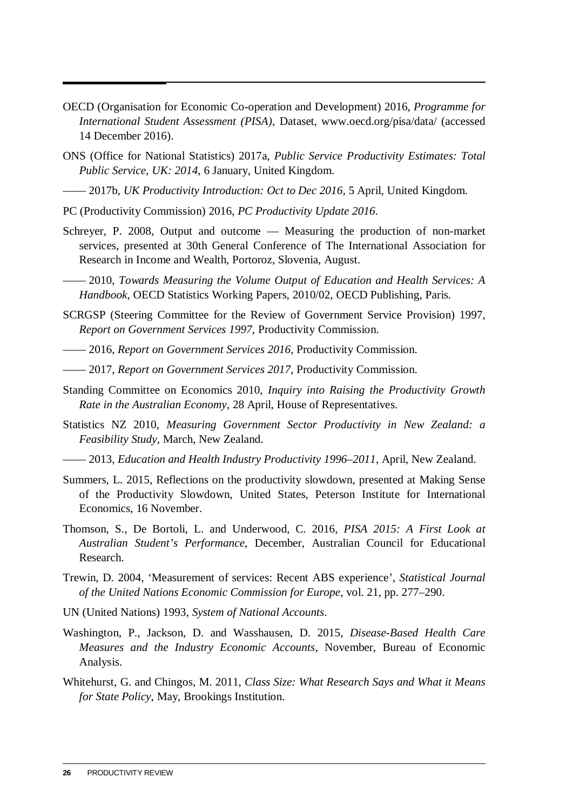- OECD (Organisation for Economic Co-operation and Development) 2016, *Programme for International Student Assessment (PISA)*, Dataset, www.oecd.org/pisa/data/ (accessed 14 December 2016).
- ONS (Office for National Statistics) 2017a, *Public Service Productivity Estimates: Total Public Service, UK: 2014*, 6 January, United Kingdom.
- —— 2017b, *UK Productivity Introduction: Oct to Dec 2016*, 5 April, United Kingdom.
- PC (Productivity Commission) 2016, *PC Productivity Update 2016*.
- Schreyer, P. 2008, Output and outcome Measuring the production of non-market services, presented at 30th General Conference of The International Association for Research in Income and Wealth, Portoroz, Slovenia, August.
- —— 2010, *Towards Measuring the Volume Output of Education and Health Services: A Handbook*, OECD Statistics Working Papers, 2010/02, OECD Publishing, Paris.
- SCRGSP (Steering Committee for the Review of Government Service Provision) 1997, *Report on Government Services 1997*, Productivity Commission.
- —— 2016, *Report on Government Services 2016*, Productivity Commission.
- —— 2017, *Report on Government Services 2017*, Productivity Commission.
- Standing Committee on Economics 2010, *Inquiry into Raising the Productivity Growth Rate in the Australian Economy*, 28 April, House of Representatives.
- Statistics NZ 2010, *Measuring Government Sector Productivity in New Zealand: a Feasibility Study*, March, New Zealand.
- —— 2013, *Education and Health Industry Productivity 1996–2011*, April, New Zealand.
- Summers, L. 2015, Reflections on the productivity slowdown, presented at Making Sense of the Productivity Slowdown, United States, Peterson Institute for International Economics, 16 November.
- Thomson, S., De Bortoli, L. and Underwood, C. 2016, *PISA 2015: A First Look at Australian Student's Performance*, December, Australian Council for Educational Research.
- Trewin, D. 2004, 'Measurement of services: Recent ABS experience', *Statistical Journal of the United Nations Economic Commission for Europe*, vol. 21, pp. 277–290.
- UN (United Nations) 1993, *System of National Accounts*.
- Washington, P., Jackson, D. and Wasshausen, D. 2015, *Disease-Based Health Care Measures and the Industry Economic Accounts*, November, Bureau of Economic Analysis.
- Whitehurst, G. and Chingos, M. 2011, *Class Size: What Research Says and What it Means for State Policy*, May, Brookings Institution.